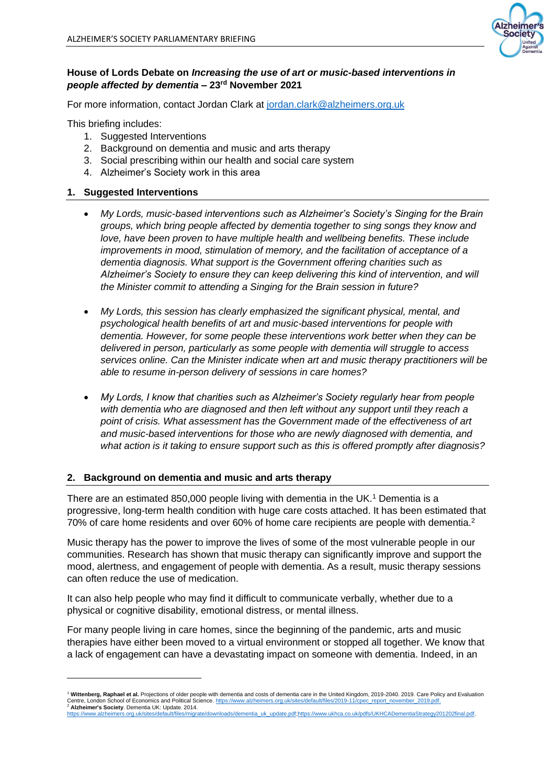

## **House of Lords Debate on** *Increasing the use of art or music-based interventions in people affected by dementia* **– 23rd November 2021**

For more information, contact Jordan Clark at [jordan.clark@alzheimers.org.uk](mailto:jordan.clark@alzheimers.org.uk)

This briefing includes:

- 1. Suggested Interventions
- 2. Background on dementia and music and arts therapy
- 3. Social prescribing within our health and social care system
- 4. Alzheimer's Society work in this area

#### **1. Suggested Interventions**

- *My Lords, music-based interventions such as Alzheimer's Society's Singing for the Brain groups, which bring people affected by dementia together to sing songs they know and love, have been proven to have multiple health and wellbeing benefits. These include improvements in mood, stimulation of memory, and the facilitation of acceptance of a dementia diagnosis. What support is the Government offering charities such as Alzheimer's Society to ensure they can keep delivering this kind of intervention, and will the Minister commit to attending a Singing for the Brain session in future?*
- *My Lords, this session has clearly emphasized the significant physical, mental, and psychological health benefits of art and music-based interventions for people with dementia. However, for some people these interventions work better when they can be delivered in person, particularly as some people with dementia will struggle to access services online. Can the Minister indicate when art and music therapy practitioners will be able to resume in-person delivery of sessions in care homes?*
- *My Lords, I know that charities such as Alzheimer's Society regularly hear from people with dementia who are diagnosed and then left without any support until they reach a point of crisis. What assessment has the Government made of the effectiveness of art and music-based interventions for those who are newly diagnosed with dementia, and what action is it taking to ensure support such as this is offered promptly after diagnosis?*

#### **2. Background on dementia and music and arts therapy**

There are an estimated 850,000 people living with dementia in the UK.<sup>1</sup> Dementia is a progressive, long-term health condition with huge care costs attached. It has been estimated that 70% of care home residents and over 60% of home care recipients are people with dementia.<sup>2</sup>

Music therapy has the power to improve the lives of some of the most vulnerable people in our communities. Research has shown that music therapy can significantly improve and support the mood, alertness, and engagement of people with dementia. As a result, music therapy sessions can often reduce the use of medication.

It can also help people who may find it difficult to communicate verbally, whether due to a physical or cognitive disability, emotional distress, or mental illness.

For many people living in care homes, since the beginning of the pandemic, arts and music therapies have either been moved to a virtual environment or stopped all together. We know that a lack of engagement can have a devastating impact on someone with dementia. Indeed, in an

<sup>&</sup>lt;sup>1</sup> Wittenberg, Raphael et al. Projections of older people with dementia and costs of dementia care in the United Kingdom, 2019-2040. 2019. Care Policy and Evaluation Centre, London School of Economics and Political Science. https://www.alzheimers.org.uk/sites/default/files/2019-11/cpec\_report\_november\_2019.pdf <sup>2</sup> **Alzheimer's Society**. Dementia UK: Update. 2014.

[https://www.alzheimers.org.uk/sites/default/files/migrate/downloads/dementia\\_uk\\_update.pdf;](https://www.alzheimers.org.uk/sites/default/files/migrate/downloads/dementia_uk_update.pdf)[https://www.ukhca.co.uk/pdfs/UKHCADementiaStrategy201202final.pdf.](https://www.ukhca.co.uk/pdfs/UKHCADementiaStrategy201202final.pdf)